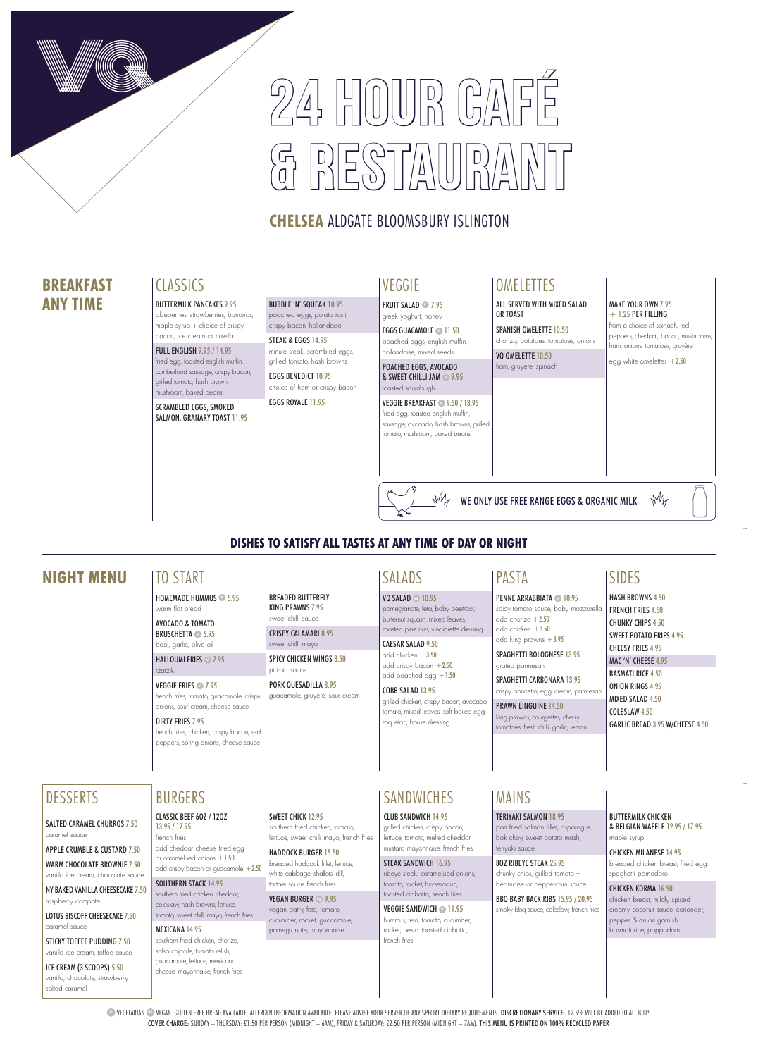# $24$ , HOOUR CA  $\begin{array}{|c|c|c|c|c|}\hline \textbf{D} & \textbf{D} & \textbf{D} & \textbf{D} & \textbf{D} & \textbf{D} & \textbf{D} & \textbf{D} & \textbf{D} & \textbf{D} & \textbf{D} & \textbf{D} & \textbf{D} & \textbf{D} & \textbf{D} & \textbf{D} & \textbf{D} & \textbf{D} & \textbf{D} & \textbf{D} & \textbf{D} & \textbf{D} & \textbf{D} & \textbf{D} & \textbf{D} & \textbf{D} & \textbf{D} & \textbf{D} & \textbf{D$

## **CHELSEA** ALDGATE BLOOMSBURY ISLINGTON

**VEGETARIAN <sup>®</sup> VEGAN. GLUTEN FREE BREAD AVAILABLE. ALLERGEN INFORMATION AVAILABLE. PLEASE ADVISE YOUR SERVER OF ANY SPECIAL DIETARY REQUIREMENTS. DISCRETIONARY SERVICE: 12.5% WILL BE ADDED TO ALL BILLS.** COVER CHARGE: SUNDAY – THURSDAY: £1.50 PER PERSON (MIDNIGHT – 6AM), FRIDAY & SATURDAY: £2.50 PER PERSON (MIDNIGHT – 7AM). THIS MENU IS PRINTED ON 100% RECYCLED PAPER

EGGS GUACAMOLE **11.50** poached eggs, english muffin, hollandaise, mixed seeds

## VEGGIE

FRUIT SALAD **<sup>V</sup>** 7.95 greek yoghurt, honey

POACHED EGGS, AVOCADO & SWEET CHILLI JAM **<sup>V</sup>** 9.95 toasted sourdough

#### VEGGIE BREAKFAST **<sup>V</sup>** 9.50 / 13.95 fried egg, toasted english muffin,

sausage, avocado, hash browns, grilled tomato, mushroom, baked beans

## **OMELETTES**

## **DISHES TO SATISFY ALL TASTES AT ANY TIME OF DAY OR NIGHT**

## **BREAKFAST ANY TIME**

## **CLASSICS**

## **NIGHT MENU** SIDES

CAESAR SALAD 9.50 add chicken +3.50 add crispy bacon  $+2.50$ 

## add poached egg  $+1.50$

BREADED BUTTERFLY KING PRAWNS 7.95 sweet chilli sauce CRISPY CALAMARI 8.95 sweet chilli mayo

SPICY CHICKEN WINGS 8.50

piri-piri sauce

PORK QUESADILLA 8.95 guacamole, gruyère, sour cream

SWEET CHICK 12.95

spicy tomato sauce, baby mozzarella add chorizo  $+2.50$ add chicken +3.50 add king prawns +3.95

## TO START

crispy pancetta, egg, cream, parmesar PRAWN LINGUINE 14.50

HOMEMADE HUMMUS **<sup>V</sup>** 5.95 warm flat bread

AVOCADO & TOMATO BRUSCHETTA **<sup>V</sup>** 6.95 basil, garlic, olive oil

HALLOUMI FRIES **<sup>V</sup>** 7.95 tzatziki

VEGGIE FRIES **<sup>V</sup>** 7.95 french fries, tomato, guacamole, crispy onions, sour cream, cheese sauce

#### DIRTY FRIES 7.95

french fries, chicken, crispy bacon, red peppers, spring onions, cheese sauce

STEAK & EGGS 14.95 minute steak, scrambled eggs, grilled tomato, hash browns

#### MAKE YOUR OWN 7.95  $+ 1.25$  PER FILLING

HASH BROWNS 4.50 FRENCH FRIES 4.50 CHUNKY CHIPS 4.50 SWEET POTATO FRIES 4.95 CHEESY FRIES 4.95 MAC 'N' CHEESE 4.95 BASMATI RICE 4.50 ONION RINGS 4.95 MIXED SALAD 4.50 COLESLAW 4.50 GARLIC BREAD 3.95 W/CHEESE 4.50

SPANISH OMELETTE 10.50 chorizo, potatoes, tomatoes, onions

VQ OMELETTE 10.50 ham, gruyère, spinach

## SALADS

VQ SALAD **VE** 10.95 pomegranate, feta, baby beetroot, butternut squash, mixed leaves, roasted pine nuts, vinaigrette dressing

COBB SALAD 13.95 grilled chicken, crispy bacon, avocado, tomato, mixed leaves, soft boiled egg, roquefort, house dressing

CLASSIC BEEF 6OZ / 12OZ 13.95 / 17.95 french fries add cheddar cheese, fried egg or caramelised onions +1.50 add crispy bacon or guacamole +2.50 SPAGHETTI BOLOGNESE 13.95

#### grated parmesan SPAGHETTI CARBONARA 13.95

SOUTHERN STACK 14.95 southern fried chicken, cheddar, coleslaw, hash browns, lettuce, tomato, sweet chilli mayo, french fries king prawns, courgettes, cherry tomatoes, fresh chilli, garlic, lemon

PASTA

**PENNE ARRABBIATA 10.95** 

BUTTERMILK PANCAKES 9.95 blueberries, strawberries, bananas,

maple syrup + choice of crispy bacon, ice cream or nutella

FULL ENGLISH 9.95 / 14.95 fried egg, toasted english muffin, cumberland sausage, crispy bacon, grilled tomato, hash brown, mushroom, baked beans

SCRAMBLED EGGS, SMOKED SALMON, GRANARY TOAST 11.95

## BUBBLE 'N' SQUEAK 10.95

poached eggs, potato rosti, crispy bacon, hollandaise

EGGS BENEDICT 10.95 choice of ham or crispy bacon

EGGS ROYALE 11.95

from a choice of spinach, red peppers, cheddar, bacon, mushrooms, ham, onions, tomatoes, gruyère

 $M$ 

egg white omelettes  $+2.50$ 

ALL SERVED WITH MIXED SALAD OR TOAST

WE ONLY USE FREE RANGE EGGS & ORGANIC MILK

## MAINS

#### TERIYAKI SALMON 18.95

pan fried salmon fillet, asparagus, bok choy, sweet potato mash, teriyaki sauce

#### 8OZ RIBEYE STEAK 25.95

chunky chips, grilled tomato – bearnaise or peppercorn sauce

BBQ BABY BACK RIBS 15.95 / 20.95 smoky bbq sauce, coleslaw, french fries BUTTERMILK CHICKEN & BELGIAN WAFFLE 12.95 / 17.95 maple syrup

CHICKEN MILANESE 14.95 breaded chicken breast, fried egg, spaghetti pomodoro

CHICKEN KORMA 16.50 chicken breast, mildly spiced creamy coconut sauce, coriander, pepper & onion garnish, basmati rice, poppadom

#### CLUB SANDWICH 14.95

grilled chicken, crispy bacon, lettuce, tomato, melted cheddar, mustard mayonnaise, french fries

#### STEAK SANDWICH 16.95

ribeye steak, caramelised onions, tomato, rocket, horseradish, toasted ciabatta, french fries

#### VEGGIE SANDWICH **V** 11.95 hummus, feta, tomato, cucumber, rocket, pesto, toasted ciabatta, french fries

MEXICANA 14.95 southern fried chicken, chorizo, salsa chipotle, tomato relish, guacamole, lettuce, mexicana cheese, mayonnaise, french fries

## BURGERS ISANDWICHES

southern fried chicken, tomato, lettuce, sweet chilli mayo, french fries

HADDOCK BURGER 15.50 breaded haddock fillet, lettuce, white cabbage, shallots, dill, tartare sauce, french fries VEGAN BURGER **VE** 9.95 vegan patty, feta, tomato, cucumber, rocket, guacamole, pomegranate, mayonnaise



#### SALTED CARAMEL CHURROS 7.50 caramel sauce

APPLE CRUMBLE & CUSTARD 7.50 WARM CHOCOLATE BROWNIE 7.50 vanilla ice cream, chocolate sauce

NY BAKED VANILLA CHEESECAKE 7.50 raspberry compote

LOTUS BISCOFF CHEESECAKE 7.50 caramel sauce

STICKY TOFFEE PUDDING 7.50 vanilla ice cream, toffee sauce

ICE CREAM (3 SCOOPS) 5.50 vanilla, chocolate, strawberry, salted caramel